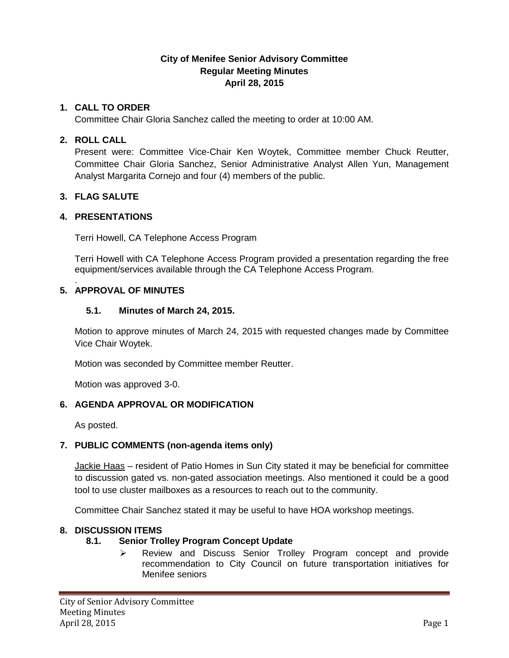# **City of Menifee Senior Advisory Committee Regular Meeting Minutes April 28, 2015**

#### **1. CALL TO ORDER**

Committee Chair Gloria Sanchez called the meeting to order at 10:00 AM.

#### **2. ROLL CALL**

Present were: Committee Vice-Chair Ken Woytek, Committee member Chuck Reutter, Committee Chair Gloria Sanchez, Senior Administrative Analyst Allen Yun, Management Analyst Margarita Cornejo and four (4) members of the public.

#### **3. FLAG SALUTE**

#### **4. PRESENTATIONS**

Terri Howell, CA Telephone Access Program

Terri Howell with CA Telephone Access Program provided a presentation regarding the free equipment/services available through the CA Telephone Access Program.

#### . **5. APPROVAL OF MINUTES**

#### **5.1. Minutes of March 24, 2015.**

Motion to approve minutes of March 24, 2015 with requested changes made by Committee Vice Chair Woytek.

Motion was seconded by Committee member Reutter.

Motion was approved 3-0.

# **6. AGENDA APPROVAL OR MODIFICATION**

As posted.

# **7. PUBLIC COMMENTS (non-agenda items only)**

Jackie Haas - resident of Patio Homes in Sun City stated it may be beneficial for committee to discussion gated vs. non-gated association meetings. Also mentioned it could be a good tool to use cluster mailboxes as a resources to reach out to the community.

Committee Chair Sanchez stated it may be useful to have HOA workshop meetings.

# **8. DISCUSSION ITEMS**

# **8.1. Senior Trolley Program Concept Update**

 Review and Discuss Senior Trolley Program concept and provide recommendation to City Council on future transportation initiatives for Menifee seniors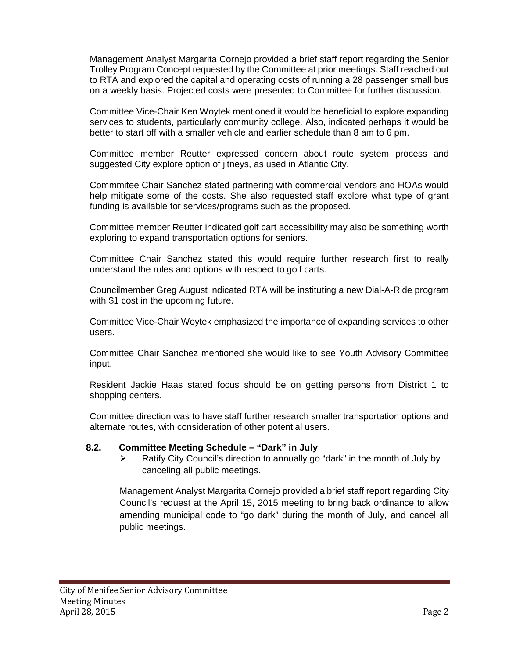Management Analyst Margarita Cornejo provided a brief staff report regarding the Senior Trolley Program Concept requested by the Committee at prior meetings. Staff reached out to RTA and explored the capital and operating costs of running a 28 passenger small bus on a weekly basis. Projected costs were presented to Committee for further discussion.

Committee Vice-Chair Ken Woytek mentioned it would be beneficial to explore expanding services to students, particularly community college. Also, indicated perhaps it would be better to start off with a smaller vehicle and earlier schedule than 8 am to 6 pm.

Committee member Reutter expressed concern about route system process and suggested City explore option of jitneys, as used in Atlantic City.

Commmitee Chair Sanchez stated partnering with commercial vendors and HOAs would help mitigate some of the costs. She also requested staff explore what type of grant funding is available for services/programs such as the proposed.

Committee member Reutter indicated golf cart accessibility may also be something worth exploring to expand transportation options for seniors.

Committee Chair Sanchez stated this would require further research first to really understand the rules and options with respect to golf carts.

Councilmember Greg August indicated RTA will be instituting a new Dial-A-Ride program with \$1 cost in the upcoming future.

Committee Vice-Chair Woytek emphasized the importance of expanding services to other users.

Committee Chair Sanchez mentioned she would like to see Youth Advisory Committee input.

Resident Jackie Haas stated focus should be on getting persons from District 1 to shopping centers.

Committee direction was to have staff further research smaller transportation options and alternate routes, with consideration of other potential users.

#### **8.2. Committee Meeting Schedule – "Dark" in July**

 $\triangleright$  Ratify City Council's direction to annually go "dark" in the month of July by canceling all public meetings.

Management Analyst Margarita Cornejo provided a brief staff report regarding City Council's request at the April 15, 2015 meeting to bring back ordinance to allow amending municipal code to "go dark" during the month of July, and cancel all public meetings.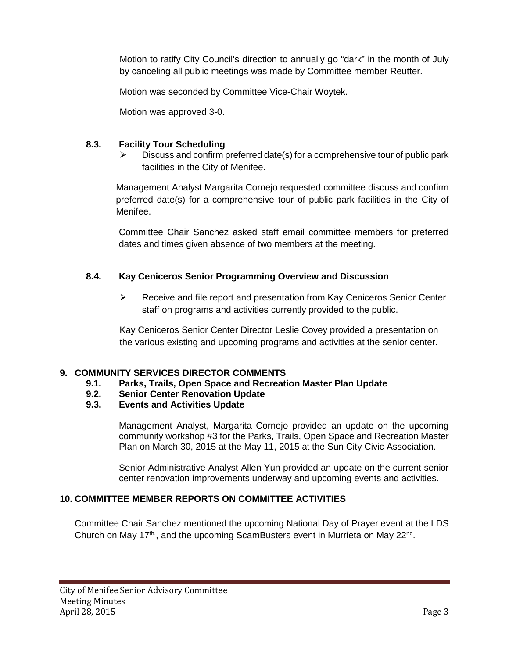Motion to ratify City Council's direction to annually go "dark" in the month of July by canceling all public meetings was made by Committee member Reutter.

Motion was seconded by Committee Vice-Chair Woytek.

Motion was approved 3-0.

# **8.3. Facility Tour Scheduling**

 $\triangleright$  Discuss and confirm preferred date(s) for a comprehensive tour of public park facilities in the City of Menifee.

Management Analyst Margarita Cornejo requested committee discuss and confirm preferred date(s) for a comprehensive tour of public park facilities in the City of Menifee.

Committee Chair Sanchez asked staff email committee members for preferred dates and times given absence of two members at the meeting.

# **8.4. Kay Ceniceros Senior Programming Overview and Discussion**

 $\triangleright$  Receive and file report and presentation from Kay Ceniceros Senior Center staff on programs and activities currently provided to the public.

Kay Ceniceros Senior Center Director Leslie Covey provided a presentation on the various existing and upcoming programs and activities at the senior center.

# **9. COMMUNITY SERVICES DIRECTOR COMMENTS**

- **9.1. Parks, Trails, Open Space and Recreation Master Plan Update**
- **9.2. Senior Center Renovation Update**

# **9.3. Events and Activities Update**

Management Analyst, Margarita Cornejo provided an update on the upcoming community workshop #3 for the Parks, Trails, Open Space and Recreation Master Plan on March 30, 2015 at the May 11, 2015 at the Sun City Civic Association.

Senior Administrative Analyst Allen Yun provided an update on the current senior center renovation improvements underway and upcoming events and activities.

# **10. COMMITTEE MEMBER REPORTS ON COMMITTEE ACTIVITIES**

Committee Chair Sanchez mentioned the upcoming National Day of Prayer event at the LDS Church on May 17<sup>th,</sup>, and the upcoming ScamBusters event in Murrieta on May 22<sup>nd</sup>.